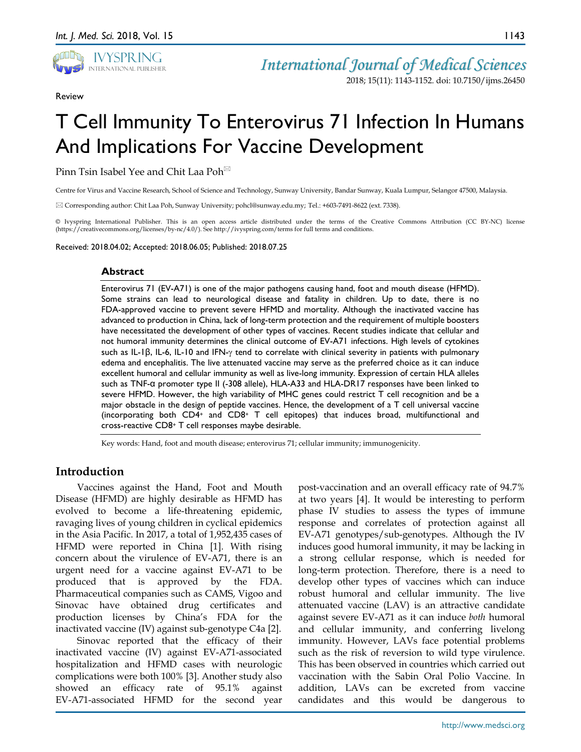

Review

1143

# T Cell Immunity To Enterovirus 71 Infection In Humans And Implications For Vaccine Development

Pinn Tsin Isabel Yee and Chit Laa Poh<sup>⊠</sup>

Centre for Virus and Vaccine Research, School of Science and Technology, Sunway University, Bandar Sunway, Kuala Lumpur, Selangor 47500, Malaysia.

Corresponding author: Chit Laa Poh, Sunway University; pohcl@sunway.edu.my; Tel.: +603-7491-8622 (ext. 7338).

© Ivyspring International Publisher. This is an open access article distributed under the terms of the Creative Commons Attribution (CC BY-NC) license (https://creativecommons.org/licenses/by-nc/4.0/). See http://ivyspring.com/terms for full terms and conditions.

Received: 2018.04.02; Accepted: 2018.06.05; Published: 2018.07.25

#### **Abstract**

Enterovirus 71 (EV-A71) is one of the major pathogens causing hand, foot and mouth disease (HFMD). Some strains can lead to neurological disease and fatality in children. Up to date, there is no FDA-approved vaccine to prevent severe HFMD and mortality. Although the inactivated vaccine has advanced to production in China, lack of long-term protection and the requirement of multiple boosters have necessitated the development of other types of vaccines. Recent studies indicate that cellular and not humoral immunity determines the clinical outcome of EV-A71 infections. High levels of cytokines such as IL-1β, IL-6, IL-10 and IFN-γ tend to correlate with clinical severity in patients with pulmonary edema and encephalitis. The live attenuated vaccine may serve as the preferred choice as it can induce excellent humoral and cellular immunity as well as live-long immunity. Expression of certain HLA alleles such as TNF-α promoter type II (-308 allele), HLA-A33 and HLA-DR17 responses have been linked to severe HFMD. However, the high variability of MHC genes could restrict T cell recognition and be a major obstacle in the design of peptide vaccines. Hence, the development of a T cell universal vaccine (incorporating both CD4+ and CD8+ T cell epitopes) that induces broad, multifunctional and cross-reactive CD8+ T cell responses maybe desirable.

Key words: Hand, foot and mouth disease; enterovirus 71; cellular immunity; immunogenicity.

## **Introduction**

Vaccines against the Hand, Foot and Mouth Disease (HFMD) are highly desirable as HFMD has evolved to become a life-threatening epidemic, ravaging lives of young children in cyclical epidemics in the Asia Pacific. In 2017, a total of 1,952,435 cases of HFMD were reported in China [1]. With rising concern about the virulence of EV-A71, there is an urgent need for a vaccine against EV-A71 to be produced that is approved by the FDA. Pharmaceutical companies such as CAMS, Vigoo and Sinovac have obtained drug certificates and production licenses by China's FDA for the inactivated vaccine (IV) against sub-genotype C4a [2].

Sinovac reported that the efficacy of their inactivated vaccine (IV) against EV-A71-associated hospitalization and HFMD cases with neurologic complications were both 100% [3]. Another study also showed an efficacy rate of 95.1% against EV-A71-associated HFMD for the second year

post-vaccination and an overall efficacy rate of 94.7% at two years [4]. It would be interesting to perform phase IV studies to assess the types of immune response and correlates of protection against all EV-A71 genotypes/sub-genotypes. Although the IV induces good humoral immunity, it may be lacking in a strong cellular response, which is needed for long-term protection. Therefore, there is a need to develop other types of vaccines which can induce robust humoral and cellular immunity. The live attenuated vaccine (LAV) is an attractive candidate against severe EV-A71 as it can induce *both* humoral and cellular immunity, and conferring livelong immunity. However, LAVs face potential problems such as the risk of reversion to wild type virulence. This has been observed in countries which carried out vaccination with the Sabin Oral Polio Vaccine. In addition, LAVs can be excreted from vaccine candidates and this would be dangerous to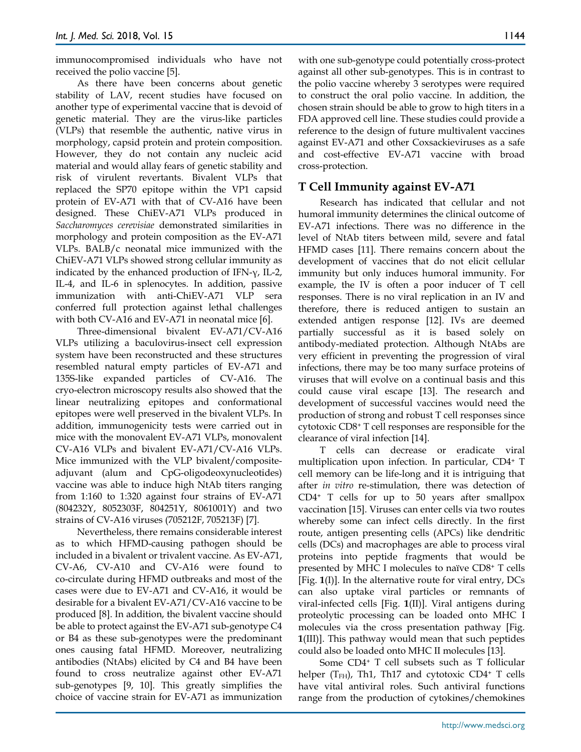immunocompromised individuals who have not received the polio vaccine [5].

As there have been concerns about genetic stability of LAV, recent studies have focused on another type of experimental vaccine that is devoid of genetic material. They are the virus-like particles (VLPs) that resemble the authentic, native virus in morphology, capsid protein and protein composition. However, they do not contain any nucleic acid material and would allay fears of genetic stability and risk of virulent revertants. Bivalent VLPs that replaced the SP70 epitope within the VP1 capsid protein of EV-A71 with that of CV-A16 have been designed. These ChiEV-A71 VLPs produced in *Saccharomyces cerevisiae* demonstrated similarities in morphology and protein composition as the EV-A71 VLPs. BALB/c neonatal mice immunized with the ChiEV-A71 VLPs showed strong cellular immunity as indicated by the enhanced production of IFN-γ, IL-2, IL-4, and IL-6 in splenocytes. In addition, passive immunization with anti-ChiEV-A71 VLP sera conferred full protection against lethal challenges with both CV-A16 and EV-A71 in neonatal mice [6].

Three-dimensional bivalent EV-A71/CV-A16 VLPs utilizing a baculovirus-insect cell expression system have been reconstructed and these structures resembled natural empty particles of EV-A71 and 135S-like expanded particles of CV-A16. The cryo-electron microscopy results also showed that the linear neutralizing epitopes and conformational epitopes were well preserved in the bivalent VLPs. In addition, immunogenicity tests were carried out in mice with the monovalent EV-A71 VLPs, monovalent CV-A16 VLPs and bivalent EV-A71/CV-A16 VLPs. Mice immunized with the VLP bivalent/compositeadjuvant (alum and CpG-oligodeoxynucleotides) vaccine was able to induce high NtAb titers ranging from 1:160 to 1:320 against four strains of EV-A71 (804232Y, 8052303F, 804251Y, 8061001Y) and two strains of CV-A16 viruses (705212F, 705213F) [7].

Nevertheless, there remains considerable interest as to which HFMD-causing pathogen should be included in a bivalent or trivalent vaccine. As EV-A71, CV-A6, CV-A10 and CV-A16 were found to co-circulate during HFMD outbreaks and most of the cases were due to EV-A71 and CV-A16, it would be desirable for a bivalent EV-A71/CV-A16 vaccine to be produced [8]. In addition, the bivalent vaccine should be able to protect against the EV-A71 sub-genotype C4 or B4 as these sub-genotypes were the predominant ones causing fatal HFMD. Moreover, neutralizing antibodies (NtAbs) elicited by C4 and B4 have been found to cross neutralize against other EV-A71 sub-genotypes [9, 10]. This greatly simplifies the choice of vaccine strain for EV-A71 as immunization

with one sub-genotype could potentially cross-protect against all other sub-genotypes. This is in contrast to the polio vaccine whereby 3 serotypes were required to construct the oral polio vaccine. In addition, the chosen strain should be able to grow to high titers in a FDA approved cell line. These studies could provide a reference to the design of future multivalent vaccines against EV-A71 and other Coxsackieviruses as a safe and cost-effective EV-A71 vaccine with broad cross-protection.

# **T Cell Immunity against EV-A71**

Research has indicated that cellular and not humoral immunity determines the clinical outcome of EV-A71 infections. There was no difference in the level of NtAb titers between mild, severe and fatal HFMD cases [11]. There remains concern about the development of vaccines that do not elicit cellular immunity but only induces humoral immunity. For example, the IV is often a poor inducer of T cell responses. There is no viral replication in an IV and therefore, there is reduced antigen to sustain an extended antigen response [12]. IVs are deemed partially successful as it is based solely on antibody-mediated protection. Although NtAbs are very efficient in preventing the progression of viral infections, there may be too many surface proteins of viruses that will evolve on a continual basis and this could cause viral escape [13]. The research and development of successful vaccines would need the production of strong and robust T cell responses since cytotoxic CD8+ T cell responses are responsible for the clearance of viral infection [14].

T cells can decrease or eradicate viral multiplication upon infection. In particular, CD4+ T cell memory can be life-long and it is intriguing that after *in vitro* re-stimulation, there was detection of CD4+ T cells for up to 50 years after smallpox vaccination [15]. Viruses can enter cells via two routes whereby some can infect cells directly. In the first route, antigen presenting cells (APCs) like dendritic cells (DCs) and macrophages are able to process viral proteins into peptide fragments that would be presented by MHC I molecules to naïve CD8+ T cells [Fig. **1**(I)]. In the alternative route for viral entry, DCs can also uptake viral particles or remnants of viral-infected cells [Fig. **1**(II)]. Viral antigens during proteolytic processing can be loaded onto MHC I molecules via the cross presentation pathway [Fig. **1**(III)]. This pathway would mean that such peptides could also be loaded onto MHC II molecules [13].

Some CD4+ T cell subsets such as T follicular helper (T<sub>FH</sub>), Th1, Th17 and cytotoxic CD4<sup>+</sup> T cells have vital antiviral roles. Such antiviral functions range from the production of cytokines/chemokines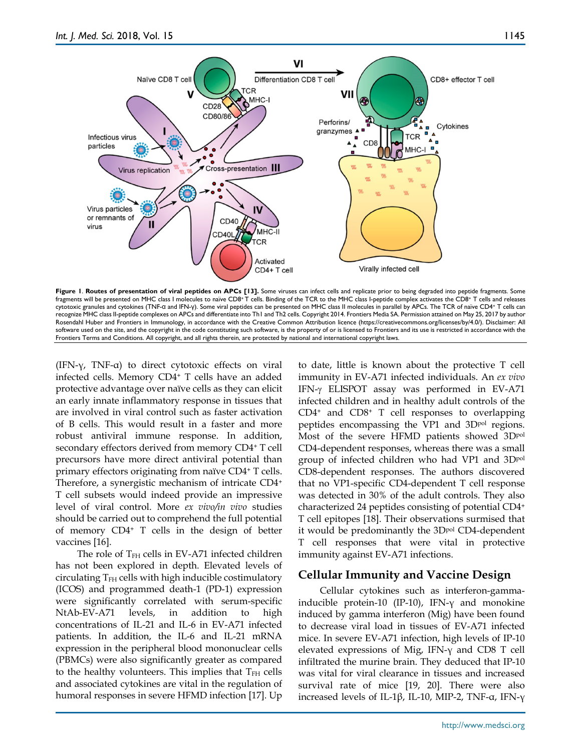

**Figure 1**. **Routes of presentation of viral peptides on APCs [13].** Some viruses can infect cells and replicate prior to being degraded into peptide fragments. Some fragments will be presented on MHC class I molecules to naïve CD8+ T cells. Binding of the TCR to the MHC class I-peptide complex activates the CD8+ T cells and releases cytotoxic granules and cytokines (TNF-α and IFN-γ). Some viral peptides can be presented on MHC class II molecules in parallel by APCs. The TCR of naïve CD4+ T cells can recognize MHC class II-peptide complexes on APCs and differentiate into Th1 and Th2 cells. Copyright 2014. Frontiers Media SA. Permission attained on May 25, 2017 by author Rosendahl Huber and Frontiers in Immunology, in accordance with the Creative Common Attribution licence (https://creativecommons.org/licenses/by/4.0/). Disclaimer: All software used on the site, and the copyright in the code constituting such software, is the property of or is licensed to Frontiers and its use is restricted in accordance with the Frontiers Terms and Conditions. All copyright, and all rights therein, are protected by national and international copyright laws.

(IFN-γ, TNF-α) to direct cytotoxic effects on viral infected cells. Memory CD4+ T cells have an added protective advantage over naïve cells as they can elicit an early innate inflammatory response in tissues that are involved in viral control such as faster activation of B cells. This would result in a faster and more robust antiviral immune response. In addition, secondary effectors derived from memory CD4+ T cell precursors have more direct antiviral potential than primary effectors originating from naïve CD4+ T cells. Therefore, a synergistic mechanism of intricate CD4+ T cell subsets would indeed provide an impressive level of viral control. More *ex vivo/in vivo* studies should be carried out to comprehend the full potential of memory CD4+ T cells in the design of better vaccines [16].

The role of  $T<sub>FH</sub>$  cells in EV-A71 infected children has not been explored in depth. Elevated levels of circulating  $T<sub>FH</sub>$  cells with high inducible costimulatory (ICOS) and programmed death-1 (PD-1) expression were significantly correlated with serum-specific NtAb-EV-A71 levels, in addition to high concentrations of IL-21 and IL-6 in EV-A71 infected patients. In addition, the IL-6 and IL-21 mRNA expression in the peripheral blood mononuclear cells (PBMCs) were also significantly greater as compared to the healthy volunteers. This implies that  $T<sub>FH</sub>$  cells and associated cytokines are vital in the regulation of humoral responses in severe HFMD infection [17]. Up to date, little is known about the protective T cell immunity in EV-A71 infected individuals. An *ex vivo* IFN-γ ELISPOT assay was performed in EV-A71 infected children and in healthy adult controls of the  $CD4<sup>+</sup>$  and  $CD8<sup>+</sup>$  T cell responses to overlapping peptides encompassing the VP1 and 3Dpol regions. Most of the severe HFMD patients showed 3Dpol CD4-dependent responses, whereas there was a small group of infected children who had VP1 and 3Dpol CD8-dependent responses. The authors discovered that no VP1-specific CD4-dependent T cell response was detected in 30% of the adult controls. They also characterized 24 peptides consisting of potential CD4+ T cell epitopes [18]. Their observations surmised that it would be predominantly the 3Dpol CD4-dependent T cell responses that were vital in protective immunity against EV-A71 infections.

## **Cellular Immunity and Vaccine Design**

Cellular cytokines such as interferon-gammainducible protein-10 (IP-10), IFN-γ and monokine induced by gamma interferon (Mig) have been found to decrease viral load in tissues of EV-A71 infected mice. In severe EV-A71 infection, high levels of IP-10 elevated expressions of Mig, IFN-γ and CD8 T cell infiltrated the murine brain. They deduced that IP-10 was vital for viral clearance in tissues and increased survival rate of mice [19, 20]. There were also increased levels of IL-1β, IL-10, MIP-2, TNF-α, IFN-γ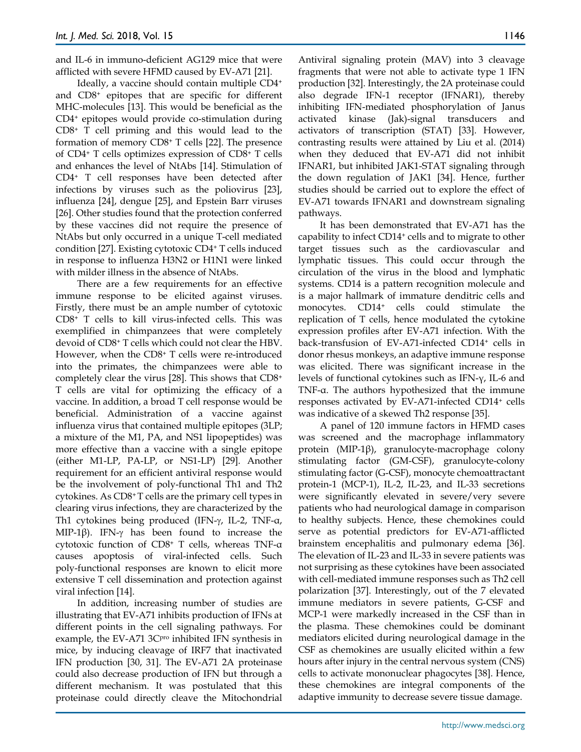and IL-6 in immuno-deficient AG129 mice that were afflicted with severe HFMD caused by EV-A71 [21].

Ideally, a vaccine should contain multiple CD4+ and CD8+ epitopes that are specific for different MHC-molecules [13]. This would be beneficial as the CD4+ epitopes would provide co-stimulation during CD8+ T cell priming and this would lead to the formation of memory CD8+ T cells [22]. The presence of CD4+ T cells optimizes expression of CD8+ T cells and enhances the level of NtAbs [14]. Stimulation of CD4+ T cell responses have been detected after infections by viruses such as the poliovirus [23], influenza [24], dengue [25], and Epstein Barr viruses [26]. Other studies found that the protection conferred by these vaccines did not require the presence of NtAbs but only occurred in a unique T-cell mediated condition [27]. Existing cytotoxic CD4+ T cells induced in response to influenza H3N2 or H1N1 were linked with milder illness in the absence of NtAbs.

There are a few requirements for an effective immune response to be elicited against viruses. Firstly, there must be an ample number of cytotoxic CD8+ T cells to kill virus-infected cells. This was exemplified in chimpanzees that were completely devoid of CD8+ T cells which could not clear the HBV. However, when the CD8+ T cells were re-introduced into the primates, the chimpanzees were able to completely clear the virus [28]. This shows that CD8+ T cells are vital for optimizing the efficacy of a vaccine. In addition, a broad T cell response would be beneficial. Administration of a vaccine against influenza virus that contained multiple epitopes (3LP; a mixture of the M1, PA, and NS1 lipopeptides) was more effective than a vaccine with a single epitope (either M1-LP, PA-LP, or NS1-LP) [29]. Another requirement for an efficient antiviral response would be the involvement of poly-functional Th1 and Th2 cytokines. As CD8+ T cells are the primary cell types in clearing virus infections, they are characterized by the Th1 cytokines being produced (IFN-γ, IL-2, TNF-α, MIP-1β). IFN-γ has been found to increase the cytotoxic function of CD8+ T cells, whereas TNF-α causes apoptosis of viral-infected cells. Such poly-functional responses are known to elicit more extensive T cell dissemination and protection against viral infection [14].

In addition, increasing number of studies are illustrating that EV-A71 inhibits production of IFNs at different points in the cell signaling pathways. For example, the EV-A71 3C<sub>pro</sub> inhibited IFN synthesis in mice, by inducing cleavage of IRF7 that inactivated IFN production [30, 31]. The EV-A71 2A proteinase could also decrease production of IFN but through a different mechanism. It was postulated that this proteinase could directly cleave the Mitochondrial

Antiviral signaling protein (MAV) into 3 cleavage fragments that were not able to activate type 1 IFN production [32]. Interestingly, the 2A proteinase could also degrade IFN-1 receptor (IFNAR1), thereby inhibiting IFN-mediated phosphorylation of Janus activated kinase (Jak)-signal transducers and activators of transcription (STAT) [33]. However, contrasting results were attained by Liu et al. (2014) when they deduced that EV-A71 did not inhibit IFNAR1, but inhibited JAK1-STAT signaling through the down regulation of JAK1 [34]. Hence, further studies should be carried out to explore the effect of EV-A71 towards IFNAR1 and downstream signaling pathways.

It has been demonstrated that EV-A71 has the capability to infect CD14+ cells and to migrate to other target tissues such as the cardiovascular and lymphatic tissues. This could occur through the circulation of the virus in the blood and lymphatic systems. CD14 is a pattern recognition molecule and is a major hallmark of immature denditric cells and monocytes. CD14<sup>+</sup> cells could stimulate the replication of T cells, hence modulated the cytokine expression profiles after EV-A71 infection. With the back-transfusion of EV-A71-infected CD14+ cells in donor rhesus monkeys, an adaptive immune response was elicited. There was significant increase in the levels of functional cytokines such as IFN-γ, IL-6 and TNF-α. The authors hypothesized that the immune responses activated by EV-A71-infected CD14+ cells was indicative of a skewed Th2 response [35].

A panel of 120 immune factors in HFMD cases was screened and the macrophage inflammatory protein (MIP-1β), granulocyte-macrophage colony stimulating factor (GM-CSF), granulocyte-colony stimulating factor (G-CSF), monocyte chemoattractant protein-1 (MCP-1), IL-2, IL-23, and IL-33 secretions were significantly elevated in severe/very severe patients who had neurological damage in comparison to healthy subjects. Hence, these chemokines could serve as potential predictors for EV-A71-afflicted brainstem encephalitis and pulmonary edema [36]. The elevation of IL-23 and IL-33 in severe patients was not surprising as these cytokines have been associated with cell-mediated immune responses such as Th2 cell polarization [37]. Interestingly, out of the 7 elevated immune mediators in severe patients, G-CSF and MCP-1 were markedly increased in the CSF than in the plasma. These chemokines could be dominant mediators elicited during neurological damage in the CSF as chemokines are usually elicited within a few hours after injury in the central nervous system (CNS) cells to activate mononuclear phagocytes [38]. Hence, these chemokines are integral components of the adaptive immunity to decrease severe tissue damage.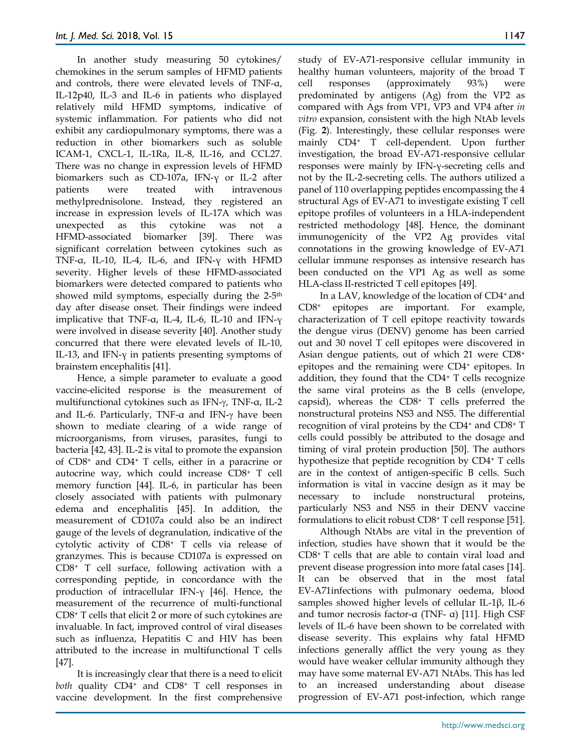In another study measuring 50 cytokines/ chemokines in the serum samples of HFMD patients and controls, there were elevated levels of TNF-α, IL-12p40, IL-3 and IL-6 in patients who displayed relatively mild HFMD symptoms, indicative of systemic inflammation. For patients who did not exhibit any cardiopulmonary symptoms, there was a reduction in other biomarkers such as soluble ICAM-1, CXCL-1, IL-1Ra, IL-8, IL-16, and CCL27. There was no change in expression levels of HFMD biomarkers such as CD-107a, IFN-γ or IL-2 after patients were treated with intravenous methylprednisolone. Instead, they registered an increase in expression levels of IL-17A which was unexpected as this cytokine was not a HFMD-associated biomarker [39]. There was significant correlation between cytokines such as TNF-α, IL-10, IL-4, IL-6, and IFN-γ with HFMD severity. Higher levels of these HFMD-associated biomarkers were detected compared to patients who showed mild symptoms, especially during the 2-5<sup>th</sup> day after disease onset. Their findings were indeed implicative that TNF-α, IL-4, IL-6, IL-10 and IFN-γ were involved in disease severity [40]. Another study concurred that there were elevated levels of IL-10, IL-13, and IFN- $γ$  in patients presenting symptoms of brainstem encephalitis [41].

Hence, a simple parameter to evaluate a good vaccine-elicited response is the measurement of multifunctional cytokines such as IFN-γ, TNF-α, IL-2 and IL-6. Particularly, TNF-α and IFN-γ have been shown to mediate clearing of a wide range of microorganisms, from viruses, parasites, fungi to bacteria [42, 43]. IL-2 is vital to promote the expansion of CD8+ and CD4+ T cells, either in a paracrine or autocrine way, which could increase CD8+ T cell memory function [44]. IL-6, in particular has been closely associated with patients with pulmonary edema and encephalitis [45]. In addition, the measurement of CD107a could also be an indirect gauge of the levels of degranulation, indicative of the cytolytic activity of CD8+ T cells via release of granzymes. This is because CD107a is expressed on CD8+ T cell surface, following activation with a corresponding peptide, in concordance with the production of intracellular IFN-γ [46]. Hence, the measurement of the recurrence of multi-functional CD8+ T cells that elicit 2 or more of such cytokines are invaluable. In fact, improved control of viral diseases such as influenza, Hepatitis C and HIV has been attributed to the increase in multifunctional T cells [47].

It is increasingly clear that there is a need to elicit *both* quality CD4<sup>+</sup> and CD8<sup>+</sup> T cell responses in vaccine development. In the first comprehensive

study of EV-A71-responsive cellular immunity in healthy human volunteers, majority of the broad T cell responses (approximately 93%) were predominated by antigens (Ag) from the VP2 as compared with Ags from VP1, VP3 and VP4 after *in vitro* expansion, consistent with the high NtAb levels (Fig. **2**). Interestingly, these cellular responses were mainly CD4+ T cell-dependent. Upon further investigation, the broad EV-A71-responsive cellular responses were mainly by IFN-γ-secreting cells and not by the IL-2-secreting cells. The authors utilized a panel of 110 overlapping peptides encompassing the 4 structural Ags of EV-A71 to investigate existing T cell epitope profiles of volunteers in a HLA-independent restricted methodology [48]. Hence, the dominant immunogenicity of the VP2 Ag provides vital connotations in the growing knowledge of EV-A71 cellular immune responses as intensive research has been conducted on the VP1 Ag as well as some HLA-class II-restricted T cell epitopes [49].

In a LAV, knowledge of the location of CD4+ and CD8+ epitopes are important. For example, characterization of T cell epitope reactivity towards the dengue virus (DENV) genome has been carried out and 30 novel T cell epitopes were discovered in Asian dengue patients, out of which 21 were CD8+ epitopes and the remaining were CD4<sup>+</sup> epitopes. In addition, they found that the CD4+ T cells recognize the same viral proteins as the B cells (envelope, capsid), whereas the CD8+ T cells preferred the nonstructural proteins NS3 and NS5. The differential recognition of viral proteins by the CD4+ and CD8+ T cells could possibly be attributed to the dosage and timing of viral protein production [50]. The authors hypothesize that peptide recognition by CD4+ T cells are in the context of antigen-specific B cells. Such information is vital in vaccine design as it may be necessary to include nonstructural proteins, particularly NS3 and NS5 in their DENV vaccine formulations to elicit robust CD8+ T cell response [51].

Although NtAbs are vital in the prevention of infection, studies have shown that it would be the CD8+ T cells that are able to contain viral load and prevent disease progression into more fatal cases [14]. It can be observed that in the most fatal EV-A71infections with pulmonary oedema, blood samples showed higher levels of cellular IL-1β, IL-6 and tumor necrosis factor-α (TNF- α) [11]. High CSF levels of IL-6 have been shown to be correlated with disease severity. This explains why fatal HFMD infections generally afflict the very young as they would have weaker cellular immunity although they may have some maternal EV-A71 NtAbs. This has led to an increased understanding about disease progression of EV-A71 post-infection, which range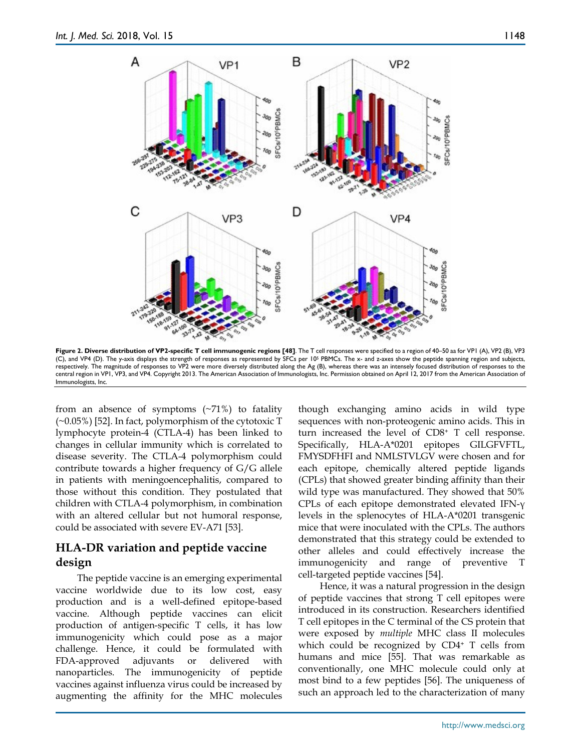

**Figure 2. Diverse distribution of VP2-specific T cell immunogenic regions [48]**. The T cell responses were specified to a region of 40–50 aa for VPI (A), VP2 (B), VP3<br>(C), and VP4 (D). The y-axis displays the strength of respectively. The magnitude of responses to VP2 were more diversely distributed along the Ag (B), whereas there was an intensely focused distribution of responses to the central region in VP1, VP3, and VP4. Copyright 2013. The American Association of Immunologists, Inc. Permission obtained on April 12, 2017 from the American Association of Immunologists, Inc.

from an absence of symptoms  $(\sim 71\%)$  to fatality (~0.05%) [52]. In fact, polymorphism of the cytotoxic T lymphocyte protein-4 (CTLA-4) has been linked to changes in cellular immunity which is correlated to disease severity. The CTLA-4 polymorphism could contribute towards a higher frequency of G/G allele in patients with meningoencephalitis, compared to those without this condition. They postulated that children with CTLA-4 polymorphism, in combination with an altered cellular but not humoral response, could be associated with severe EV-A71 [53].

# **HLA-DR variation and peptide vaccine design**

The peptide vaccine is an emerging experimental vaccine worldwide due to its low cost, easy production and is a well-defined epitope-based vaccine. Although peptide vaccines can elicit production of antigen-specific T cells, it has low immunogenicity which could pose as a major challenge. Hence, it could be formulated with FDA-approved adjuvants or delivered with nanoparticles. The immunogenicity of peptide vaccines against influenza virus could be increased by augmenting the affinity for the MHC molecules

though exchanging amino acids in wild type sequences with non-proteogenic amino acids. This in turn increased the level of CD8+ T cell response. Specifically, HLA-A\*0201 epitopes GILGFVFTL, FMYSDFHFI and NMLSTVLGV were chosen and for each epitope, chemically altered peptide ligands (CPLs) that showed greater binding affinity than their wild type was manufactured. They showed that 50% CPLs of each epitope demonstrated elevated IFN-γ levels in the splenocytes of HLA-A\*0201 transgenic mice that were inoculated with the CPLs. The authors demonstrated that this strategy could be extended to other alleles and could effectively increase the immunogenicity and range of preventive T cell-targeted peptide vaccines [54].

Hence, it was a natural progression in the design of peptide vaccines that strong T cell epitopes were introduced in its construction. Researchers identified T cell epitopes in the C terminal of the CS protein that were exposed by *multiple* MHC class II molecules which could be recognized by CD4+ T cells from humans and mice [55]. That was remarkable as conventionally, one MHC molecule could only at most bind to a few peptides [56]. The uniqueness of such an approach led to the characterization of many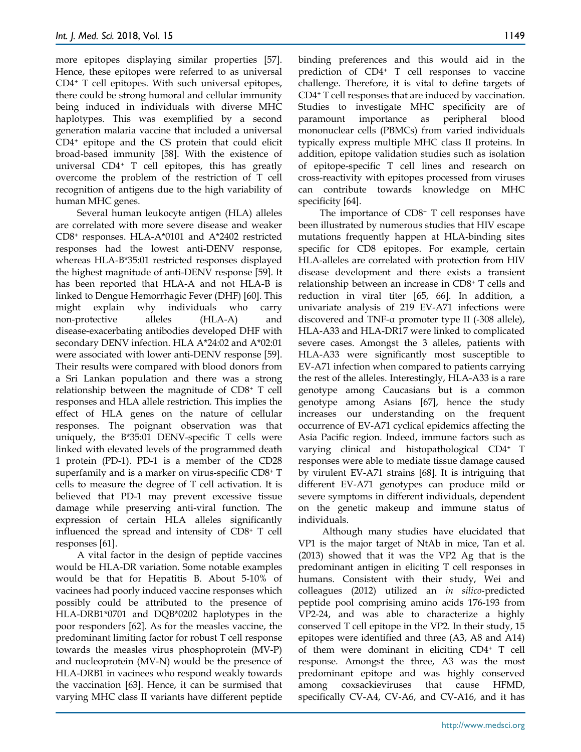more epitopes displaying similar properties [57]. Hence, these epitopes were referred to as universal CD4+ T cell epitopes. With such universal epitopes, there could be strong humoral and cellular immunity being induced in individuals with diverse MHC haplotypes. This was exemplified by a second generation malaria vaccine that included a universal CD4+ epitope and the CS protein that could elicit broad-based immunity [58]. With the existence of universal CD4+ T cell epitopes, this has greatly overcome the problem of the restriction of T cell recognition of antigens due to the high variability of human MHC genes.

Several human leukocyte antigen (HLA) alleles are correlated with more severe disease and weaker CD8+ responses. HLA-A\*0101 and A\*2402 restricted responses had the lowest anti-DENV response, whereas HLA-B\*35:01 restricted responses displayed the highest magnitude of anti-DENV response [59]. It has been reported that HLA-A and not HLA-B is linked to Dengue Hemorrhagic Fever (DHF) [60]. This might explain why individuals who carry non-protective alleles (HLA-A) and disease-exacerbating antibodies developed DHF with secondary DENV infection. HLA A\*24:02 and A\*02:01 were associated with lower anti-DENV response [59]. Their results were compared with blood donors from a Sri Lankan population and there was a strong relationship between the magnitude of CD8+ T cell responses and HLA allele restriction. This implies the effect of HLA genes on the nature of cellular responses. The poignant observation was that uniquely, the B\*35:01 DENV-specific T cells were linked with elevated levels of the programmed death 1 protein (PD-1). PD-1 is a member of the CD28 superfamily and is a marker on virus-specific CD8+ T cells to measure the degree of T cell activation. It is believed that PD-1 may prevent excessive tissue damage while preserving anti-viral function. The expression of certain HLA alleles significantly influenced the spread and intensity of CD8+ T cell responses [61].

A vital factor in the design of peptide vaccines would be HLA-DR variation. Some notable examples would be that for Hepatitis B. About 5-10% of vacinees had poorly induced vaccine responses which possibly could be attributed to the presence of HLA-DRB1\*0701 and DQB\*0202 haplotypes in the poor responders [62]. As for the measles vaccine, the predominant limiting factor for robust T cell response towards the measles virus phosphoprotein (MV-P) and nucleoprotein (MV-N) would be the presence of HLA-DRB1 in vacinees who respond weakly towards the vaccination [63]. Hence, it can be surmised that varying MHC class II variants have different peptide

binding preferences and this would aid in the prediction of CD4+ T cell responses to vaccine challenge. Therefore, it is vital to define targets of CD4+ T cell responses that are induced by vaccination. Studies to investigate MHC specificity are of paramount importance as peripheral blood mononuclear cells (PBMCs) from varied individuals typically express multiple MHC class II proteins. In addition, epitope validation studies such as isolation of epitope-specific T cell lines and research on cross-reactivity with epitopes processed from viruses can contribute towards knowledge on MHC specificity [64].

The importance of CD8+ T cell responses have been illustrated by numerous studies that HIV escape mutations frequently happen at HLA-binding sites specific for CD8 epitopes. For example, certain HLA-alleles are correlated with protection from HIV disease development and there exists a transient relationship between an increase in CD8+ T cells and reduction in viral titer [65, 66]. In addition, a univariate analysis of 219 EV-A71 infections were discovered and TNF-α promoter type II (-308 allele), HLA-A33 and HLA-DR17 were linked to complicated severe cases. Amongst the 3 alleles, patients with HLA-A33 were significantly most susceptible to EV-A71 infection when compared to patients carrying the rest of the alleles. Interestingly, HLA-A33 is a rare genotype among Caucasians but is a common genotype among Asians [67], hence the study increases our understanding on the frequent occurrence of EV-A71 cyclical epidemics affecting the Asia Pacific region. Indeed, immune factors such as varying clinical and histopathological CD4+ T responses were able to mediate tissue damage caused by virulent EV-A71 strains [68]. It is intriguing that different EV-A71 genotypes can produce mild or severe symptoms in different individuals, dependent on the genetic makeup and immune status of individuals.

Although many studies have elucidated that VP1 is the major target of NtAb in mice, Tan et al. (2013) showed that it was the VP2 Ag that is the predominant antigen in eliciting T cell responses in humans. Consistent with their study, Wei and colleagues (2012) utilized an *in silico*-predicted peptide pool comprising amino acids 176-193 from VP2-24, and was able to characterize a highly conserved T cell epitope in the VP2. In their study, 15 epitopes were identified and three (A3, A8 and A14) of them were dominant in eliciting CD4+ T cell response. Amongst the three, A3 was the most predominant epitope and was highly conserved among coxsackieviruses that cause HFMD, specifically CV-A4, CV-A6, and CV-A16, and it has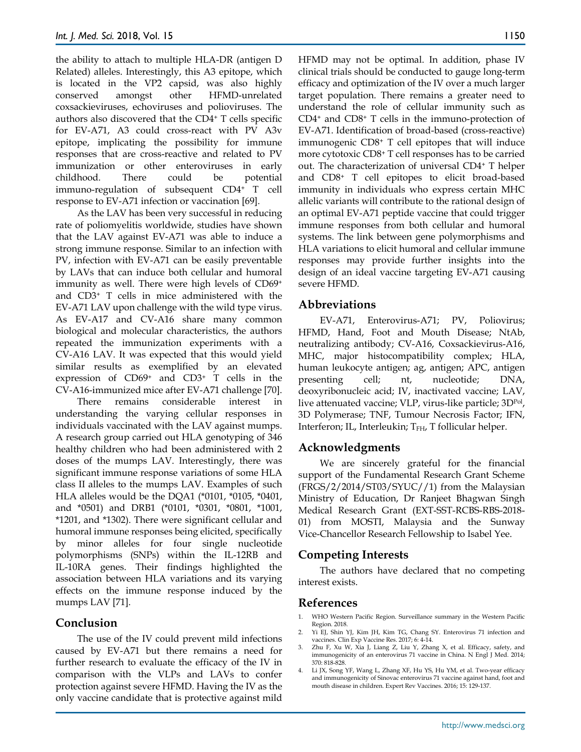the ability to attach to multiple HLA-DR (antigen D Related) alleles. Interestingly, this A3 epitope, which is located in the VP2 capsid, was also highly conserved amongst other HFMD-unrelated coxsackieviruses, echoviruses and polioviruses. The authors also discovered that the CD4+ T cells specific for EV-A71, A3 could cross-react with PV A3v epitope, implicating the possibility for immune responses that are cross-reactive and related to PV immunization or other enteroviruses in early childhood. There could be potential immuno-regulation of subsequent CD4+ T cell response to EV-A71 infection or vaccination [69].

As the LAV has been very successful in reducing rate of poliomyelitis worldwide, studies have shown that the LAV against EV-A71 was able to induce a strong immune response. Similar to an infection with PV, infection with EV-A71 can be easily preventable by LAVs that can induce both cellular and humoral immunity as well. There were high levels of CD69+ and CD3+ T cells in mice administered with the EV-A71 LAV upon challenge with the wild type virus. As EV-A17 and CV-A16 share many common biological and molecular characteristics, the authors repeated the immunization experiments with a CV-A16 LAV. It was expected that this would yield similar results as exemplified by an elevated expression of CD69+ and CD3+ T cells in the CV-A16-immunized mice after EV-A71 challenge [70].

There remains considerable interest in understanding the varying cellular responses in individuals vaccinated with the LAV against mumps. A research group carried out HLA genotyping of 346 healthy children who had been administered with 2 doses of the mumps LAV. Interestingly, there was significant immune response variations of some HLA class II alleles to the mumps LAV. Examples of such HLA alleles would be the DQA1 (\*0101, \*0105, \*0401, and \*0501) and DRB1 (\*0101, \*0301, \*0801, \*1001, \*1201, and \*1302). There were significant cellular and humoral immune responses being elicited, specifically by minor alleles for four single nucleotide polymorphisms (SNPs) within the IL-12RB and IL-10RA genes. Their findings highlighted the association between HLA variations and its varying effects on the immune response induced by the mumps LAV [71].

## **Conclusion**

The use of the IV could prevent mild infections caused by EV-A71 but there remains a need for further research to evaluate the efficacy of the IV in comparison with the VLPs and LAVs to confer protection against severe HFMD. Having the IV as the only vaccine candidate that is protective against mild HFMD may not be optimal. In addition, phase IV clinical trials should be conducted to gauge long-term efficacy and optimization of the IV over a much larger target population. There remains a greater need to understand the role of cellular immunity such as CD4+ and CD8+ T cells in the immuno-protection of EV-A71. Identification of broad-based (cross-reactive) immunogenic CD8+ T cell epitopes that will induce more cytotoxic CD8+ T cell responses has to be carried out. The characterization of universal CD4+ T helper and CD8+ T cell epitopes to elicit broad-based immunity in individuals who express certain MHC allelic variants will contribute to the rational design of an optimal EV-A71 peptide vaccine that could trigger immune responses from both cellular and humoral systems. The link between gene polymorphisms and HLA variations to elicit humoral and cellular immune responses may provide further insights into the design of an ideal vaccine targeting EV-A71 causing severe HFMD.

# **Abbreviations**

EV-A71, Enterovirus-A71; PV, Poliovirus; HFMD, Hand, Foot and Mouth Disease; NtAb, neutralizing antibody; CV-A16, Coxsackievirus-A16, MHC, major histocompatibility complex; HLA, human leukocyte antigen; ag, antigen; APC, antigen presenting cell; nt, nucleotide; DNA, deoxyribonucleic acid; IV, inactivated vaccine; LAV, live attenuated vaccine; VLP, virus-like particle; 3DPol, 3D Polymerase; TNF, Tumour Necrosis Factor; IFN, Interferon; IL, Interleukin; T<sub>FH</sub>, T follicular helper.

# **Acknowledgments**

We are sincerely grateful for the financial support of the Fundamental Research Grant Scheme (FRGS/2/2014/ST03/SYUC//1) from the Malaysian Ministry of Education, Dr Ranjeet Bhagwan Singh Medical Research Grant (EXT-SST-RCBS-RBS-2018- 01) from MOSTI, Malaysia and the Sunway Vice-Chancellor Research Fellowship to Isabel Yee.

# **Competing Interests**

The authors have declared that no competing interest exists.

# **References**

- 1. WHO Western Pacific Region. Surveillance summary in the Western Pacific Region. 2018.
- 2. Yi EJ, Shin YJ, Kim JH, Kim TG, Chang SY. Enterovirus 71 infection and vaccines. Clin Exp Vaccine Res. 2017; 6: 4-14.
- 3. Zhu F, Xu W, Xia J, Liang Z, Liu Y, Zhang X, et al. Efficacy, safety, and immunogenicity of an enterovirus 71 vaccine in China. N Engl J Med. 2014; 370: 818-828.
- 4. Li JX, Song YF, Wang L, Zhang XF, Hu YS, Hu YM, et al. Two-year efficacy and immunogenicity of Sinovac enterovirus 71 vaccine against hand, foot and mouth disease in children. Expert Rev Vaccines. 2016; 15: 129-137.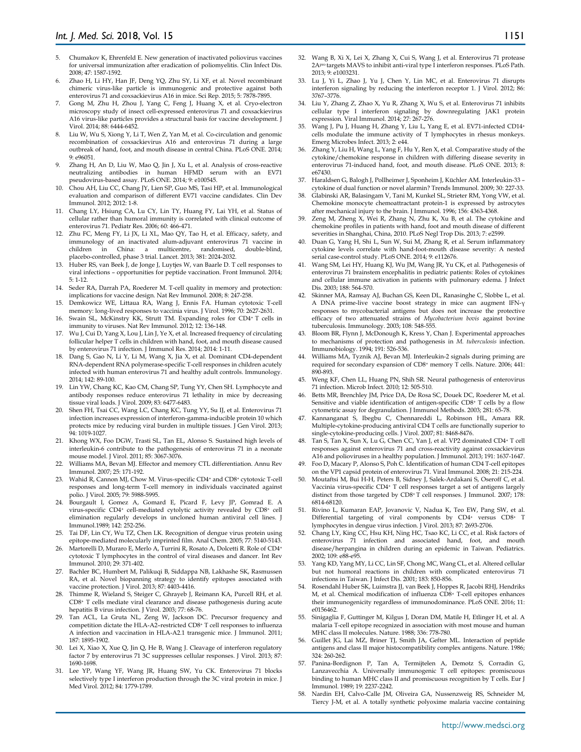- 5. Chumakov K, Ehrenfeld E. New generation of inactivated poliovirus vaccines for universal immunization after eradication of poliomyelitis. Clin Infect Dis. 2008; 47: 1587-1592.
- 6. Zhao H, Li HY, Han JF, Deng YQ, Zhu SY, Li XF, et al. Novel recombinant chimeric virus-like particle is immunogenic and protective against both enterovirus 71 and coxsackievirus A16 in mice. Sci Rep. 2015; 5: 7878-7895.
- 7. Gong M, Zhu H, Zhou J, Yang C, Feng J, Huang X, et al. Cryo-electron microscopy study of insect cell-expressed enterovirus 71 and coxsackievirus A16 virus-like particles provides a structural basis for vaccine development. J Virol. 2014; 88: 6444-6452.
- 8. Liu W, Wu S, Xiong Y, Li T, Wen Z, Yan M, et al. Co-circulation and genomic recombination of coxsackievirus A16 and enterovirus 71 during a large outbreak of hand, foot, and mouth disease in central China. PLoS ONE. 2014; 9: e96051.
- 9. Zhang H, An D, Liu W, Mao Q, Jin J, Xu L, et al. Analysis of cross-reactive neutralizing antibodies in human HFMD serum with an EV71 pseudovirus-based assay. PLoS ONE. 2014; 9: e100545.
- 10. Chou AH, Liu CC, Chang JY, Lien SP, Guo MS, Tasi HP, et al. Immunological evaluation and comparison of different EV71 vaccine candidates. Clin Dev Immunol. 2012; 2012: 1-8.
- 11. Chang LY, Hsiung CA, Lu CY, Lin TY, Huang FY, Lai YH, et al. Status of cellular rather than humoral immunity is correlated with clinical outcome of enterovirus 71. Pediatr Res. 2006; 60: 466-471.
- 12. Zhu FC, Meng FY, Li JX, Li XL, Mao QY, Tao H, et al. Efficacy, safety, and immunology of an inactivated alum-adjuvant enterovirus 71 vaccine in children in China: a multicentre, randomised, double-blind, placebo-controlled, phase 3 trial. Lancet. 2013; 381: 2024-2032.
- 13. Huber RS, van Beek J, de Jonge J, Luytjes W, van Baarle D. T cell responses to viral infections – opportunities for peptide vaccination. Front Immunol. 2014; 5: 1-12.
- 14. Seder RA, Darrah PA, Roederer M. T-cell quality in memory and protection: implications for vaccine design. Nat Rev Immunol. 2008; 8: 247-258.
- 15. Demkowicz WE, Littaua RA, Wang J, Ennis FA. Human cytotoxic T-cell memory: long-lived responses to vaccinia virus. J Virol. 1996; 70: 2627-2631.
- Swain SL, McKinstry KK, Strutt TM. Expanding roles for CD4<sup>+</sup> T cells in immunity to viruses. Nat Rev Immunol. 2012; 12: 136-148.
- 17. Wu J, Cui D, Yang X, Lou J, Lin J, Ye X, et al. Increased frequency of circulating follicular helper T cells in children with hand, foot, and mouth disease caused by enterovirus 71 infection. J Immunol Res. 2014; 2014: 1-11.
- 18. Dang S, Gao N, Li Y, Li M, Wang X, Jia X, et al. Dominant CD4-dependent RNA-dependent RNA polymerase-specific T-cell responses in children acutely infected with human enterovirus 71 and healthy adult controls. Immunology. 2014; 142: 89-100.
- 19. Lin YW, Chang KC, Kao CM, Chang SP, Tung YY, Chen SH. Lymphocyte and antibody responses reduce enterovirus 71 lethality in mice by decreasing tissue viral loads. J Virol. 2009; 83: 6477-6483.
- 20. Shen FH, Tsai CC, Wang LC, Chang KC, Tung YY, Su IJ, et al. Enterovirus 71 infection increases expression of interferon-gamma-inducible protein 10 which protects mice by reducing viral burden in multiple tissues. J Gen Virol. 2013; 94: 1019-1027.
- 21. Khong WX, Foo DGW, Trasti SL, Tan EL, Alonso S. Sustained high levels of interleukin-6 contribute to the pathogenesis of enterovirus 71 in a neonate mouse model. J Virol. 2011; 85: 3067-3076.
- 22. Williams MA, Bevan MJ. Effector and memory CTL differentiation. Annu Rev Immunol. 2007; 25: 171-192.
- 23. Wahid R, Cannon MJ, Chow M. Virus-specific CD4+ and CD8+ cytotoxic T-cell responses and long-term T-cell memory in individuals vaccinated against polio. J Virol. 2005; 79: 5988-5995.
- 24. Bourgault I, Gomez A, Gomard E, Picard F, Levy JP, Gomrad E. A virus-specific CD4+ cell-mediated cytolytic activity revealed by CD8+ cell elimination regularly develops in uncloned human antiviral cell lines. J Immunol.1989; 142: 252-256.
- 25. Tai DF, Lin CY, Wu TZ, Chen LK. Recognition of dengue virus protein using epitope-mediated molecularly imprinted film. Anal Chem. 2005; 77: 5140-5143.
- 26. Martorelli D, Muraro E, Merlo A, Turrini R, Rosato A, Dolcetti R. Role of CD4+ cytotoxic T lymphocytes in the control of viral diseases and dancer. Int Rev Immunol. 2010; 29: 371-402.
- 27. Bachler BC, Humbert M, Palikuqi B, Siddappa NB, Lakhashe SK, Rasmussen RA, et al. Novel biopanning strategy to identify epitopes associated with vaccine protection. J Virol. 2013; 87: 4403-4416.
- 28. Thimme R, Wieland S, Steiger C, Ghrayeb J, Reimann KA, Purcell RH, et al. CD8+ T cells mediate viral clearance and disease pathogenesis during acute hepatitis B virus infection. J Virol. 2003; 77: 68-76.
- 29. Tan ACL, La Gruta NL, Zeng W, Jackson DC. Precursor frequency and competition dictate the HLA-A2–restricted CD8+ T cell responses to influenza A infection and vaccination in HLA-A2.1 transgenic mice. J Immunol. 2011; 187: 1895-1902.
- 30. Lei X, Xiao X, Xue Q, Jin Q, He B, Wang J. Cleavage of interferon regulatory factor 7 by enterovirus 71 3C suppresses cellular responses. J Virol. 2013; 87: 1690-1698.
- 31. Lee YP, Wang YF, Wang JR, Huang SW, Yu CK. Enterovirus 71 blocks selectively type I interferon production through the 3C viral protein in mice. J Med Virol. 2012; 84: 1779-1789.
- 32. Wang B, Xi X, Lei X, Zhang X, Cui S, Wang J, et al. Enterovirus 71 protease 2Apro targets MAVS to inhibit anti-viral type I interferon responses. PLoS Path. 2013; 9: e1003231.
- 33. Lu J, Yi L, Zhao J, Yu J, Chen Y, Lin MC, et al. Enterovirus 71 disrupts interferon signaling by reducing the interferon receptor 1. J Virol. 2012; 86: 3767–3776.
- 34. Liu Y, Zhang Z, Zhao X, Yu R, Zhang X, Wu S, et al. Enterovirus 71 inhibits cellular type I interferon signaling by downregulating JAK1 protein expression. Viral Immunol. 2014; 27: 267-276.
- 35. Wang J, Pu J, Huang H, Zhang Y, Liu L, Yang E, et al. EV71-infected CD14+ cells modulate the immune activity of T lymphocytes in rhesus monkeys. Emerg Microbes Infect. 2013; 2: e44.
- 36. Zhang Y, Liu H, Wang L, Yang F, Hu Y, Ren X, et al. Comparative study of the cytokine/chemokine response in children with differing disease severity in enterovirus 71-induced hand, foot, and mouth disease. PLoS ONE. 2013; 8: e67430.
- 37. Haraldsen G, Balogh J, Pollheimer J, Sponheim J, Küchler AM. Interleukin-33 cytokine of dual function or novel alarmin? Trends Immunol. 2009; 30: 227-33.
- 38. Glabinski AR, Balasingam V, Tani M, Kunkel SL, Strieter RM, Yong VW, et al. Chemokine monocyte chemoattractant protein-1 is expressed by astrocytes after mechanical injury to the brain. J Immunol. 1996; 156: 4363-4368.
- 39. Zeng M, Zheng X, Wei R, Zhang N, Zhu K, Xu B, et al. The cytokine and chemokine profiles in patients with hand, foot and mouth disease of different severities in Shanghai, China, 2010. PLoS Negl Trop Dis. 2013; 7: e2599.
- 40. Duan G, Yang H, Shi L, Sun W, Sui M, Zhang R, et al. Serum inflammatory cytokine levels correlate with hand-foot-mouth disease severity: A nested serial case-control study. PLoS ONE. 2014; 9: e112676.
- 41. Wang SM, Lei HY, Huang KJ, Wu JM, Wang JR, Yu CK, et al. Pathogenesis of enterovirus 71 brainstem encephalitis in pediatric patients: Roles of cytokines and cellular immune activation in patients with pulmonary edema. J Infect Dis. 2003; 188: 564-570.
- 42. Skinner MA, Ramsay AJ, Buchan GS, Keen DL, Ranasinghe C, Slobbe L, et al. A DNA prime-live vaccine boost strategy in mice can augment IFN-γ responses to mycobacterial antigens but does not increase the protective efficacy of two attenuated strains of *Mycobacterium bovis* against bovine tuberculosis. Immunology. 2003; 108: 548-555.
- 43. Bloom BR, Flynn J, McDonough K, Kress Y, Chan J. Experimental approaches to mechanisms of protection and pathogenesis in *M. tuberculosis* infection. Immunobiology. 1994; 191: 526-536.
- 44. Williams MA, Tyznik AJ, Bevan MJ. Interleukin-2 signals during priming are required for secondary expansion of CD8+ memory T cells. Nature. 2006; 441: 890-893.
- 45. Weng KF, Chen LL, Huang PN, Shih SR. Neural pathogenesis of enterovirus 71 infection. Microb Infect. 2010; 12: 505-510.
- Betts MR, Brenchley JM, Price DA, De Rosa SC, Douek DC, Roederer M, et al. Sensitive and viable identification of antigen-specific CD8+ T cells by a flow cytometric assay for degranulation. J Immunol Methods. 2003; 281: 65-78.
- 47. Kannanganat S, Ibegbu C, Chennareddi L, Robinson HL, Amara RR. Multiple-cytokine-producing antiviral CD4 T cells are functionally superior to single-cytokine-producing cells. J Virol. 2007; 81: 8468-8476.
- Tan S, Tan X, Sun X, Lu G, Chen CC, Yan J, et al. VP2 dominated CD4+ T cell responses against enterovirus 71 and cross-reactivity against coxsackievirus A16 and polioviruses in a healthy population. J Immunol. 2013; 191: 1637-1647.
- 49. Foo D, Macary P, Alonso S, Poh C. Identification of human CD4 T-cell epitopes on the VP1 capsid protein of enterovirus 71. Viral Immunol. 2008; 21: 215-224.
- 50. Moutaftsi M, Bui H-H, Peters B, Sidney J, Salek-Ardakani S, Oseroff C, et al. Vaccinia virus-specific CD4+ T cell responses target a set of antigens largely distinct from those targeted by CD8+ T cell responses. J Immunol. 2007; 178: 6814-68120.
- 51. Rivino L, Kumaran EAP, Jovanovic V, Nadua K, Teo EW, Pang SW, et al. Differential targeting of viral components by CD4+ versus CD8+ T lymphocytes in dengue virus infection. J Virol. 2013; 87: 2693-2706.
- 52. Chang LY, King CC, Hsu KH, Ning HC, Tsao KC, Li CC, et al. Risk factors of enterovirus 71 infection and associated hand, foot, and mouth disease/herpangina in children during an epidemic in Taiwan. Pediatrics. 2002; 109: e88-e95.
- Yang KD, Yang MY, Li CC, Lin SF, Chong MC, Wang CL, et al. Altered cellular but not humoral reactions in children with complicated enterovirus 71 infections in Taiwan. J Infect Dis. 2001; 183: 850-856.
- 54. Rosendahl Huber SK, Luimstra JJ, van Beek J, Hoppes R, Jacobi RHJ, Hendriks M, et al. Chemical modification of influenza CD8<sup>+</sup> T-cell epitopes enhances their immunogenicity regardless of immunodominance. PLoS ONE. 2016; 11: e0156462.
- 55. Sinigaglia F, Guttinger M, Kilgus J, Doran DM, Matile H, Etlinger H, et al. A malaria T-cell epitope recognized in association with most mouse and human MHC class II molecules. Nature. 1988; 336: 778-780.
- 56. Guillet JG, Lai MZ, Briner TJ, Smith JA, Gefter ML. Interaction of peptide antigens and class II major histocompatibility complex antigens. Nature. 1986; 324: 260-262.
- 57. Panina-Bordignon P, Tan A, Termijtelen A, Demotz S, Corradin G, Lanzavecchia A. Universally immunogenic T cell epitopes: promiscuous binding to human MHC class II and promiscuous recognition by T cells. Eur J Immunol. 1989; 19: 2237-2242.
- 58. Nardin EH, Calvo-Calle JM, Oliveira GA, Nussenzweig RS, Schneider M, Tiercy J-M, et al. A totally synthetic polyoxime malaria vaccine containing